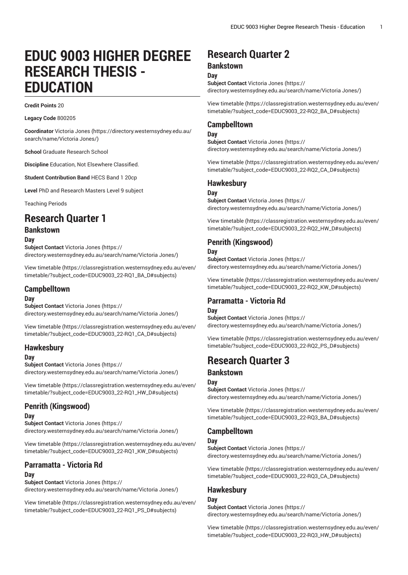# **EDUC 9003 HIGHER DEGREE RESEARCH THESIS - EDUCATION**

**Credit Points** 20

**Legacy Code** 800205

**Coordinator** [Victoria Jones](https://directory.westernsydney.edu.au/search/name/Victoria Jones/) ([https://directory.westernsydney.edu.au/](https://directory.westernsydney.edu.au/search/name/Victoria Jones/) [search/name/Victoria](https://directory.westernsydney.edu.au/search/name/Victoria Jones/) Jones/)

**School** Graduate Research School

**Discipline** Education, Not Elsewhere Classified.

**Student Contribution Band** HECS Band 1 20cp

**Level** PhD and Research Masters Level 9 subject

Teaching Periods

# **Research Quarter 1**

### **Bankstown**

**Day**

**Subject Contact** [Victoria Jones](https://directory.westernsydney.edu.au/search/name/Victoria Jones/) ([https://](https://directory.westernsydney.edu.au/search/name/Victoria Jones/) [directory.westernsydney.edu.au/search/name/Victoria](https://directory.westernsydney.edu.au/search/name/Victoria Jones/) Jones/)

[View timetable](https://classregistration.westernsydney.edu.au/even/timetable/?subject_code=EDUC9003_22-RQ1_BA_D#subjects) ([https://classregistration.westernsydney.edu.au/even/](https://classregistration.westernsydney.edu.au/even/timetable/?subject_code=EDUC9003_22-RQ1_BA_D#subjects) [timetable/?subject\\_code=EDUC9003\\_22-RQ1\\_BA\\_D#subjects](https://classregistration.westernsydney.edu.au/even/timetable/?subject_code=EDUC9003_22-RQ1_BA_D#subjects))

#### **Campbelltown**

#### **Day**

**Subject Contact** [Victoria Jones](https://directory.westernsydney.edu.au/search/name/Victoria Jones/) ([https://](https://directory.westernsydney.edu.au/search/name/Victoria Jones/) [directory.westernsydney.edu.au/search/name/Victoria](https://directory.westernsydney.edu.au/search/name/Victoria Jones/) Jones/)

[View timetable](https://classregistration.westernsydney.edu.au/even/timetable/?subject_code=EDUC9003_22-RQ1_CA_D#subjects) ([https://classregistration.westernsydney.edu.au/even/](https://classregistration.westernsydney.edu.au/even/timetable/?subject_code=EDUC9003_22-RQ1_CA_D#subjects) [timetable/?subject\\_code=EDUC9003\\_22-RQ1\\_CA\\_D#subjects](https://classregistration.westernsydney.edu.au/even/timetable/?subject_code=EDUC9003_22-RQ1_CA_D#subjects))

#### **Hawkesbury**

**Day**

**Subject Contact** [Victoria Jones](https://directory.westernsydney.edu.au/search/name/Victoria Jones/) ([https://](https://directory.westernsydney.edu.au/search/name/Victoria Jones/) [directory.westernsydney.edu.au/search/name/Victoria](https://directory.westernsydney.edu.au/search/name/Victoria Jones/) Jones/)

[View timetable](https://classregistration.westernsydney.edu.au/even/timetable/?subject_code=EDUC9003_22-RQ1_HW_D#subjects) ([https://classregistration.westernsydney.edu.au/even/](https://classregistration.westernsydney.edu.au/even/timetable/?subject_code=EDUC9003_22-RQ1_HW_D#subjects) [timetable/?subject\\_code=EDUC9003\\_22-RQ1\\_HW\\_D#subjects\)](https://classregistration.westernsydney.edu.au/even/timetable/?subject_code=EDUC9003_22-RQ1_HW_D#subjects)

### **Penrith (Kingswood)**

#### **Day**

**Subject Contact** [Victoria Jones](https://directory.westernsydney.edu.au/search/name/Victoria Jones/) ([https://](https://directory.westernsydney.edu.au/search/name/Victoria Jones/) [directory.westernsydney.edu.au/search/name/Victoria](https://directory.westernsydney.edu.au/search/name/Victoria Jones/) Jones/)

[View timetable](https://classregistration.westernsydney.edu.au/even/timetable/?subject_code=EDUC9003_22-RQ1_KW_D#subjects) ([https://classregistration.westernsydney.edu.au/even/](https://classregistration.westernsydney.edu.au/even/timetable/?subject_code=EDUC9003_22-RQ1_KW_D#subjects) [timetable/?subject\\_code=EDUC9003\\_22-RQ1\\_KW\\_D#subjects](https://classregistration.westernsydney.edu.au/even/timetable/?subject_code=EDUC9003_22-RQ1_KW_D#subjects))

### **Parramatta - Victoria Rd**

#### **Day**

**Subject Contact** [Victoria Jones](https://directory.westernsydney.edu.au/search/name/Victoria Jones/) ([https://](https://directory.westernsydney.edu.au/search/name/Victoria Jones/) [directory.westernsydney.edu.au/search/name/Victoria](https://directory.westernsydney.edu.au/search/name/Victoria Jones/) Jones/)

[View timetable](https://classregistration.westernsydney.edu.au/even/timetable/?subject_code=EDUC9003_22-RQ1_PS_D#subjects) ([https://classregistration.westernsydney.edu.au/even/](https://classregistration.westernsydney.edu.au/even/timetable/?subject_code=EDUC9003_22-RQ1_PS_D#subjects) [timetable/?subject\\_code=EDUC9003\\_22-RQ1\\_PS\\_D#subjects](https://classregistration.westernsydney.edu.au/even/timetable/?subject_code=EDUC9003_22-RQ1_PS_D#subjects))

# **Research Quarter 2**

#### **Bankstown**

**Day**

**Subject Contact** [Victoria Jones](https://directory.westernsydney.edu.au/search/name/Victoria Jones/) ([https://](https://directory.westernsydney.edu.au/search/name/Victoria Jones/) [directory.westernsydney.edu.au/search/name/Victoria](https://directory.westernsydney.edu.au/search/name/Victoria Jones/) Jones/)

[View timetable](https://classregistration.westernsydney.edu.au/even/timetable/?subject_code=EDUC9003_22-RQ2_BA_D#subjects) [\(https://classregistration.westernsydney.edu.au/even/](https://classregistration.westernsydney.edu.au/even/timetable/?subject_code=EDUC9003_22-RQ2_BA_D#subjects) [timetable/?subject\\_code=EDUC9003\\_22-RQ2\\_BA\\_D#subjects](https://classregistration.westernsydney.edu.au/even/timetable/?subject_code=EDUC9003_22-RQ2_BA_D#subjects))

#### **Campbelltown**

#### **Day**

**Subject Contact** [Victoria Jones](https://directory.westernsydney.edu.au/search/name/Victoria Jones/) ([https://](https://directory.westernsydney.edu.au/search/name/Victoria Jones/) [directory.westernsydney.edu.au/search/name/Victoria](https://directory.westernsydney.edu.au/search/name/Victoria Jones/) Jones/)

[View timetable](https://classregistration.westernsydney.edu.au/even/timetable/?subject_code=EDUC9003_22-RQ2_CA_D#subjects) [\(https://classregistration.westernsydney.edu.au/even/](https://classregistration.westernsydney.edu.au/even/timetable/?subject_code=EDUC9003_22-RQ2_CA_D#subjects) [timetable/?subject\\_code=EDUC9003\\_22-RQ2\\_CA\\_D#subjects](https://classregistration.westernsydney.edu.au/even/timetable/?subject_code=EDUC9003_22-RQ2_CA_D#subjects))

#### **Hawkesbury**

#### **Day**

**Subject Contact** [Victoria Jones](https://directory.westernsydney.edu.au/search/name/Victoria Jones/) ([https://](https://directory.westernsydney.edu.au/search/name/Victoria Jones/) [directory.westernsydney.edu.au/search/name/Victoria](https://directory.westernsydney.edu.au/search/name/Victoria Jones/) Jones/)

[View timetable](https://classregistration.westernsydney.edu.au/even/timetable/?subject_code=EDUC9003_22-RQ2_HW_D#subjects) [\(https://classregistration.westernsydney.edu.au/even/](https://classregistration.westernsydney.edu.au/even/timetable/?subject_code=EDUC9003_22-RQ2_HW_D#subjects) [timetable/?subject\\_code=EDUC9003\\_22-RQ2\\_HW\\_D#subjects\)](https://classregistration.westernsydney.edu.au/even/timetable/?subject_code=EDUC9003_22-RQ2_HW_D#subjects)

#### **Penrith (Kingswood)**

#### **Day**

**Subject Contact** [Victoria Jones](https://directory.westernsydney.edu.au/search/name/Victoria Jones/) ([https://](https://directory.westernsydney.edu.au/search/name/Victoria Jones/) [directory.westernsydney.edu.au/search/name/Victoria](https://directory.westernsydney.edu.au/search/name/Victoria Jones/) Jones/)

[View timetable](https://classregistration.westernsydney.edu.au/even/timetable/?subject_code=EDUC9003_22-RQ2_KW_D#subjects) [\(https://classregistration.westernsydney.edu.au/even/](https://classregistration.westernsydney.edu.au/even/timetable/?subject_code=EDUC9003_22-RQ2_KW_D#subjects) [timetable/?subject\\_code=EDUC9003\\_22-RQ2\\_KW\\_D#subjects](https://classregistration.westernsydney.edu.au/even/timetable/?subject_code=EDUC9003_22-RQ2_KW_D#subjects))

#### **Parramatta - Victoria Rd Day**

**Subject Contact** [Victoria Jones](https://directory.westernsydney.edu.au/search/name/Victoria Jones/) ([https://](https://directory.westernsydney.edu.au/search/name/Victoria Jones/) [directory.westernsydney.edu.au/search/name/Victoria](https://directory.westernsydney.edu.au/search/name/Victoria Jones/) Jones/)

[View timetable](https://classregistration.westernsydney.edu.au/even/timetable/?subject_code=EDUC9003_22-RQ2_PS_D#subjects) [\(https://classregistration.westernsydney.edu.au/even/](https://classregistration.westernsydney.edu.au/even/timetable/?subject_code=EDUC9003_22-RQ2_PS_D#subjects) [timetable/?subject\\_code=EDUC9003\\_22-RQ2\\_PS\\_D#subjects](https://classregistration.westernsydney.edu.au/even/timetable/?subject_code=EDUC9003_22-RQ2_PS_D#subjects))

# **Research Quarter 3**

#### **Bankstown**

#### **Day**

**Subject Contact** [Victoria Jones](https://directory.westernsydney.edu.au/search/name/Victoria Jones/) ([https://](https://directory.westernsydney.edu.au/search/name/Victoria Jones/) [directory.westernsydney.edu.au/search/name/Victoria](https://directory.westernsydney.edu.au/search/name/Victoria Jones/) Jones/)

[View timetable](https://classregistration.westernsydney.edu.au/even/timetable/?subject_code=EDUC9003_22-RQ3_BA_D#subjects) [\(https://classregistration.westernsydney.edu.au/even/](https://classregistration.westernsydney.edu.au/even/timetable/?subject_code=EDUC9003_22-RQ3_BA_D#subjects) [timetable/?subject\\_code=EDUC9003\\_22-RQ3\\_BA\\_D#subjects](https://classregistration.westernsydney.edu.au/even/timetable/?subject_code=EDUC9003_22-RQ3_BA_D#subjects))

### **Campbelltown**

#### **Day**

**Subject Contact** [Victoria Jones](https://directory.westernsydney.edu.au/search/name/Victoria Jones/) ([https://](https://directory.westernsydney.edu.au/search/name/Victoria Jones/) [directory.westernsydney.edu.au/search/name/Victoria](https://directory.westernsydney.edu.au/search/name/Victoria Jones/) Jones/)

[View timetable](https://classregistration.westernsydney.edu.au/even/timetable/?subject_code=EDUC9003_22-RQ3_CA_D#subjects) [\(https://classregistration.westernsydney.edu.au/even/](https://classregistration.westernsydney.edu.au/even/timetable/?subject_code=EDUC9003_22-RQ3_CA_D#subjects) [timetable/?subject\\_code=EDUC9003\\_22-RQ3\\_CA\\_D#subjects](https://classregistration.westernsydney.edu.au/even/timetable/?subject_code=EDUC9003_22-RQ3_CA_D#subjects))

### **Hawkesbury**

**Day Subject Contact** [Victoria Jones](https://directory.westernsydney.edu.au/search/name/Victoria Jones/) ([https://](https://directory.westernsydney.edu.au/search/name/Victoria Jones/) [directory.westernsydney.edu.au/search/name/Victoria](https://directory.westernsydney.edu.au/search/name/Victoria Jones/) Jones/)

[View timetable](https://classregistration.westernsydney.edu.au/even/timetable/?subject_code=EDUC9003_22-RQ3_HW_D#subjects) [\(https://classregistration.westernsydney.edu.au/even/](https://classregistration.westernsydney.edu.au/even/timetable/?subject_code=EDUC9003_22-RQ3_HW_D#subjects) [timetable/?subject\\_code=EDUC9003\\_22-RQ3\\_HW\\_D#subjects\)](https://classregistration.westernsydney.edu.au/even/timetable/?subject_code=EDUC9003_22-RQ3_HW_D#subjects)